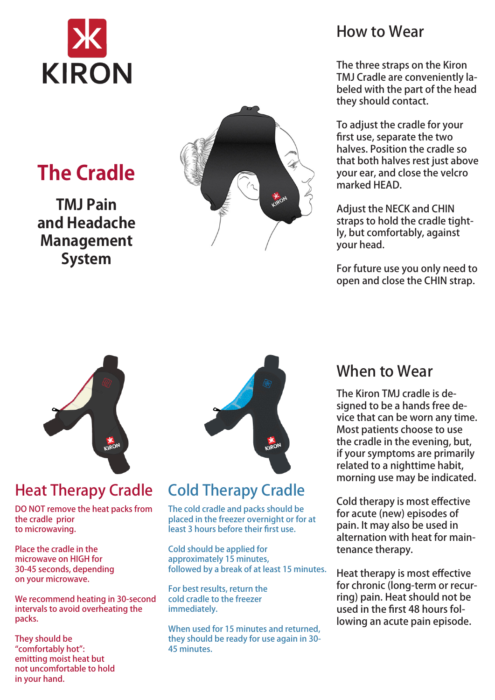

# **The Cradle**

**TMJ Pain and Headache Management System**



### How to Wear

The three straps on the Kiron TMJ Cradle are conveniently labeled with the part of the head they should contact.

To adjust the cradle for your first use, separate the two halves. Position the cradle so that both halves rest just above your ear, and close the velcro marked HEAD.

Adjust the NECK and CHIN straps to hold the cradle tightly, but comfortably, against your head.

For future use you only need to open and close the CHIN strap.



## Heat Therapy Cradle Cold Therapy Cradle

DO NOT remove the heat packs from the cradle prior to microwaving.

Place the cradle in the microwave on HIGH for 30-45 seconds, depending on your microwave.

We recommend heating in 30-second intervals to avoid overheating the packs.

They should be "comfortably hot": emitting moist heat but not uncomfortable to hold in your hand.



The cold cradle and packs should be placed in the freezer overnight or for at least 3 hours before their first use.

Cold should be applied for approximately 15 minutes, followed by a break of at least 15 minutes.

For best results, return the cold cradle to the freezer immediately.

When used for 15 minutes and returned, they should be ready for use again in 30- 45 minutes.

### When to Wear

The Kiron TMJ cradle is designed to be a hands free device that can be worn any time. Most patients choose to use the cradle in the evening, but, if your symptoms are primarily related to a nighttime habit, morning use may be indicated.

Cold therapy is most effective for acute (new) episodes of pain. It may also be used in alternation with heat for maintenance therapy.

Heat therapy is most effective for chronic (long-term or recurring) pain. Heat should not be used in the first 48 hours following an acute pain episode.